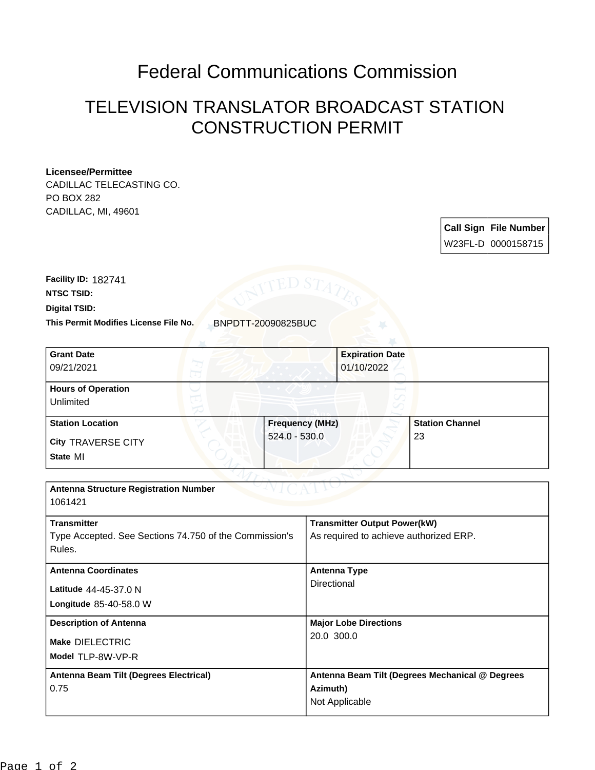## Federal Communications Commission

## TELEVISION TRANSLATOR BROADCAST STATION CONSTRUCTION PERMIT

## **Licensee/Permittee**

CADILLAC TELECASTING CO. PO BOX 282 CADILLAC, MI, 49601

> **Call Sign File Number** W23FL-D 0000158715

**Digital TSID: NTSC TSID: Facility ID:** 182741

**This Permit Modifies License File No.** BNPDTT-20090825BUC

| <b>Grant Date</b>         |                        | <b>Expiration Date</b> |                        |
|---------------------------|------------------------|------------------------|------------------------|
| 09/21/2021                |                        | 01/10/2022             |                        |
| <b>Hours of Operation</b> |                        |                        |                        |
| Unlimited                 |                        |                        |                        |
| <b>Station Location</b>   | <b>Frequency (MHz)</b> |                        | <b>Station Channel</b> |
| <b>City TRAVERSE CITY</b> | $524.0 - 530.0$        | 23                     |                        |
| State MI                  |                        |                        |                        |

| <b>Antenna Structure Registration Number</b>                                           |                                                                               |  |  |  |
|----------------------------------------------------------------------------------------|-------------------------------------------------------------------------------|--|--|--|
| 1061421                                                                                |                                                                               |  |  |  |
| <b>Transmitter</b><br>Type Accepted. See Sections 74.750 of the Commission's<br>Rules. | <b>Transmitter Output Power(kW)</b><br>As required to achieve authorized ERP. |  |  |  |
|                                                                                        |                                                                               |  |  |  |
| <b>Antenna Coordinates</b>                                                             | <b>Antenna Type</b>                                                           |  |  |  |
| Latitude 44-45-37.0 N                                                                  | Directional                                                                   |  |  |  |
| Longitude 85-40-58.0 W                                                                 |                                                                               |  |  |  |
| <b>Description of Antenna</b>                                                          | <b>Major Lobe Directions</b><br>20.0 300.0                                    |  |  |  |
| Make DIELECTRIC                                                                        |                                                                               |  |  |  |
| Model TLP-8W-VP-R                                                                      |                                                                               |  |  |  |
| Antenna Beam Tilt (Degrees Electrical)                                                 | Antenna Beam Tilt (Degrees Mechanical @ Degrees                               |  |  |  |
| 0.75                                                                                   | Azimuth)                                                                      |  |  |  |
|                                                                                        | Not Applicable                                                                |  |  |  |